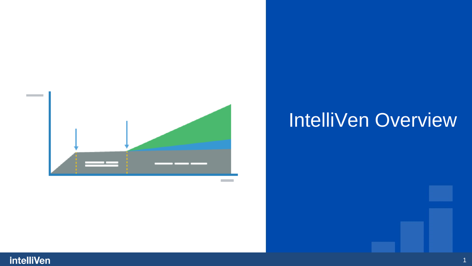

# IntelliVen Overview

1

#### intelliVen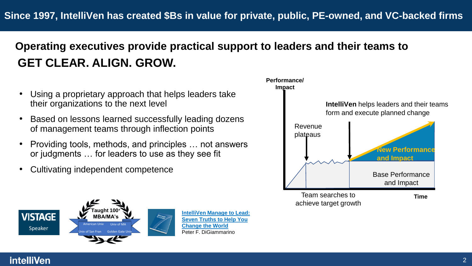# **Operating executives provide practical support to leaders and their teams to GET CLEAR. ALIGN. GROW.**

- Using a proprietary approach that helps leaders take their organizations to the next level
- Based on lessons learned successfully leading dozens of management teams through inflection points
- Providing tools, methods, and principles … not answers or judgments … for leaders to use as they see fit
- Cultivating independent competence



achieve target growth



**IntelliVen Manage to Lead: [Seven Truths to Help You](https://intelliven.com/manage-to-lead)  Change the World** Peter F. DiGiammarino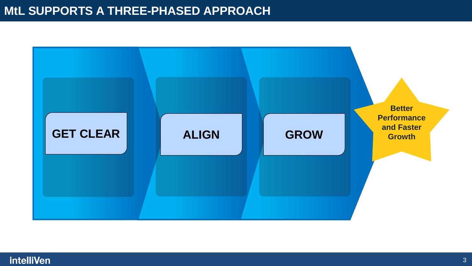## **MtL SUPPORTS A THREE-PHASED APPROACH**



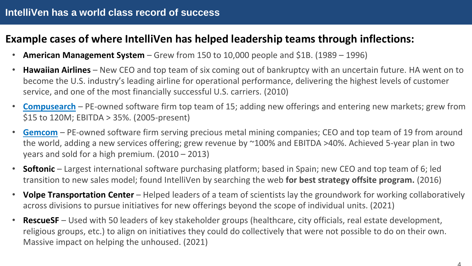### **Example cases of where IntelliVen has helped leadership teams through inflections:**

- **American Management System** Grew from 150 to 10,000 people and \$1B. (1989 1996)
- **Hawaiian Airlines** New CEO and top team of six coming out of bankruptcy with an uncertain future. HA went on to become the U.S. industry's leading airline for operational performance, delivering the highest levels of customer service, and one of the most financially successful U.S. carriers. (2010)
- **[Compusearch](https://youtu.be/-3s8aDMSs78?t=98)** PE-owned software firm top team of 15; adding new offerings and entering new markets; grew from \$15 to 120M; EBITDA > 35%. (2005-present)
- **[Gemcom](https://www.youtube.com/watch?v=w30Fhk6oM6w&list=PLP-64VbbMHOjnLsxbwLP87vuD-q8f73MY&index=20)** PE-owned software firm serving precious metal mining companies; CEO and top team of 19 from around the world, adding a new services offering; grew revenue by ~100% and EBITDA >40%. Achieved 5-year plan in two years and sold for a high premium. (2010 – 2013)
- **Softonic** Largest international software purchasing platform; based in Spain; new CEO and top team of 6; led transition to new sales model; found IntelliVen by searching the web **for best strategy offsite program.** (2016)
- **Volpe Transportation Center** Helped leaders of a team of scientists lay the groundwork for working collaboratively across divisions to pursue initiatives for new offerings beyond the scope of individual units. (2021)
- **RescueSF** Used with 50 leaders of key stakeholder groups (healthcare, city officials, real estate development, religious groups, etc.) to align on initiatives they could do collectively that were not possible to do on their own. Massive impact on helping the unhoused. (2021)